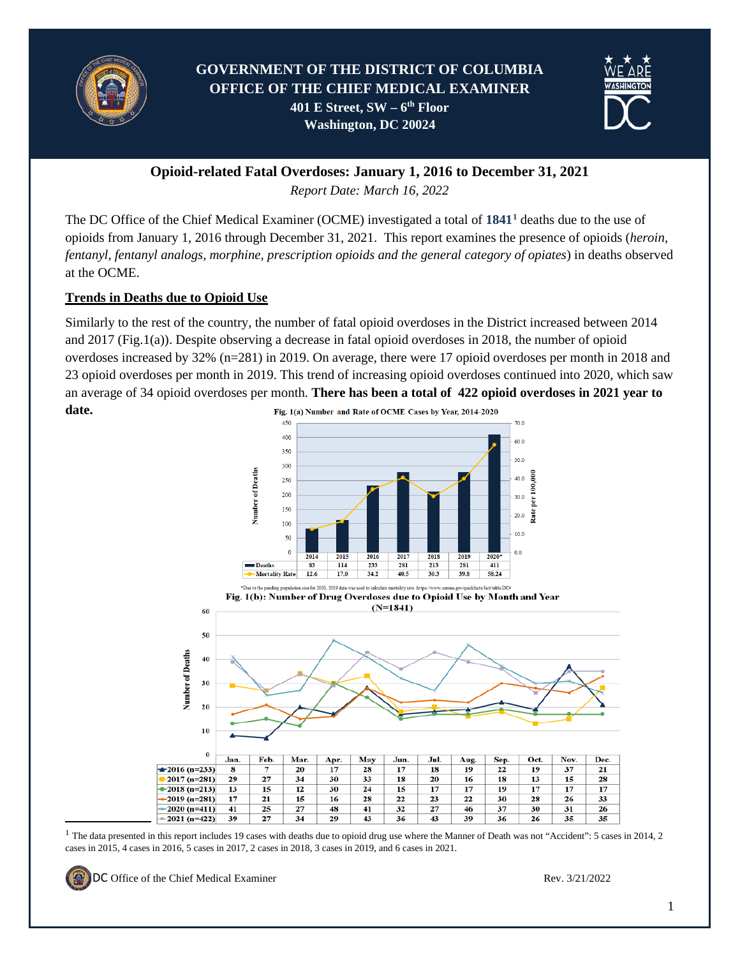



**Opioid-related Fatal Overdoses: January 1, 2016 to December 31, 2021**

*Report Date: March 16, 2022*

The DC Office of the Chief Medical Examiner (OCME) investigated a total of **1841[1](#page-0-0)** deaths due to the use of opioids from January 1, 2016 through December 31, 2021. This report examines the presence of opioids (*heroin, fentanyl, fentanyl analogs, morphine, prescription opioids and the general category of opiates*) in deaths observed at the OCME.

# **Trends in Deaths due to Opioid Use**

Similarly to the rest of the country, the number of fatal opioid overdoses in the District increased between 2014 and 2017 (Fig.1(a)). Despite observing a decrease in fatal opioid overdoses in 2018, the number of opioid overdoses increased by 32% (n=281) in 2019. On average, there were 17 opioid overdoses per month in 2018 and 23 opioid overdoses per month in 2019. This trend of increasing opioid overdoses continued into 2020, which saw an average of 34 opioid overdoses per month. **There has been a total of 422 opioid overdoses in 2021 year to date.** 

Fig. 1(a) Number and Rate of OCME Cases by Year, 2014-2020 450  $70.0$ 400  $60.0$ 350  $30<sup>°</sup>$ Number of Deaths  $40.0$ 250 per 100,  $200$  $30.0$ 150 š  $20.0$  $10<sup>c</sup>$  $10.0$ 50  $0.0$ 2014 2015 2016  $\overline{201}$ 2019 2019  $2020$ **Deaths** 114 233 281 213  $281$ 411 83 -Mortality Rate  $12.6$ 17.0 34.2 40.5 30.3 39.8 58.24



<span id="page-0-0"></span><sup>1</sup> The data presented in this report includes 19 cases with deaths due to opioid drug use where the Manner of Death was not "Accident": 5 cases in 2014, 2 cases in 2015, 4 cases in 2016, 5 cases in 2017, 2 cases in 2018, 3 cases in 2019, and 6 cases in 2021.

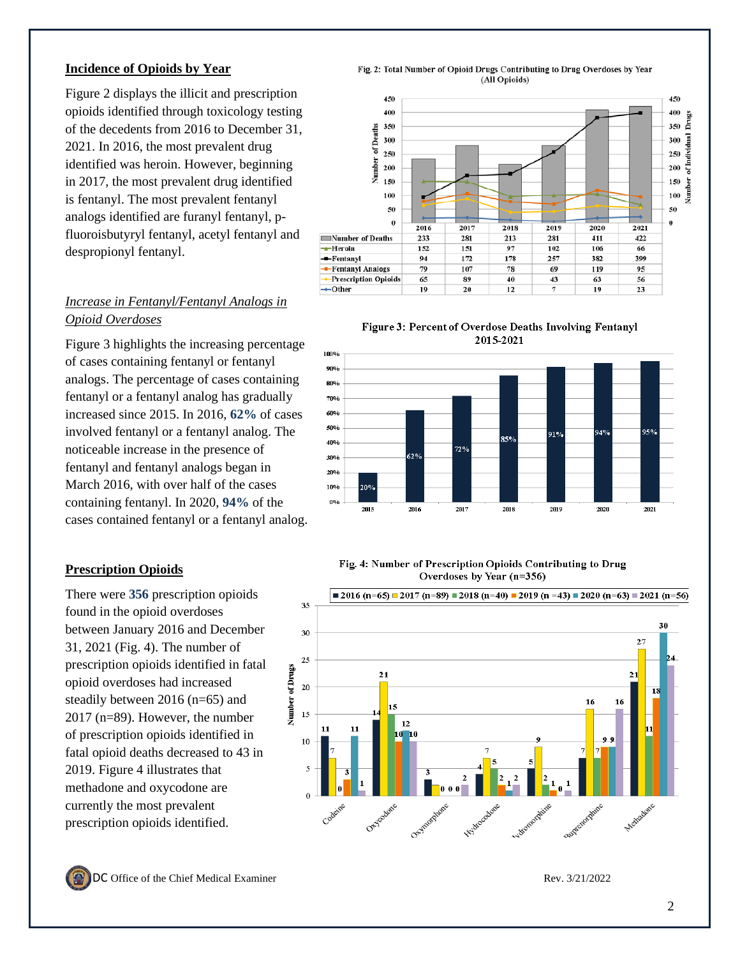### **Incidence of Opioids by Year**

Figure 2 displays the illicit and prescription opioids identified through toxicology testing of the decedents from 201 6 to December 31, 2021 . In 2016, the most prevalent drug identified was heroin. However , beginning in 2017, the most prevalent drug identified is fentanyl. The most prevalent fentanyl analogs identified are furanyl fentanyl, p fluoroisbutyryl fentanyl, acetyl fentanyl and despropionyl fentanyl .

# *Increase in Fentanyl/Fentanyl Analogs in Opioid Overdose s*

Figure 3 highlights the increasing percentage of cases containing fentanyl or fentanyl analogs. The percentage of cases containing fentanyl or a fentanyl analog has gradually increased since 2015. In 2016, **6 2 %** of cases involved fentanyl or a fentanyl analo g . The noticeable increase in the presence of fentanyl and fentanyl analogs began in March 2016, with over half of the cases containing fentanyl . In 2020 , **94 %** of the cases contained fentanyl or a fentanyl analog.

# **Prescription Opioids**

There were **356** prescription opioids found in the opioid overdoses between January 2016 and December 31, 2021 (Fig. 4 ) . The number of prescription opioids identified in fatal opioid overdoses ha d increased steadily between 2016 (n=65 ) and 2017 (n=89 ). However, the number of prescription opioids identified in fatal opioid deaths decreased to 43 in 201 9. Figure 4 illustrates that methadone and oxycodone are currently the most prevalent prescription opioids identified.





Figure 3: Percent of Overdose Deaths Involving Fentanyl 2015-2021



Fig. 4: Number of Prescription Opioids Contributing to Drug Overdoses by Year (n=356)



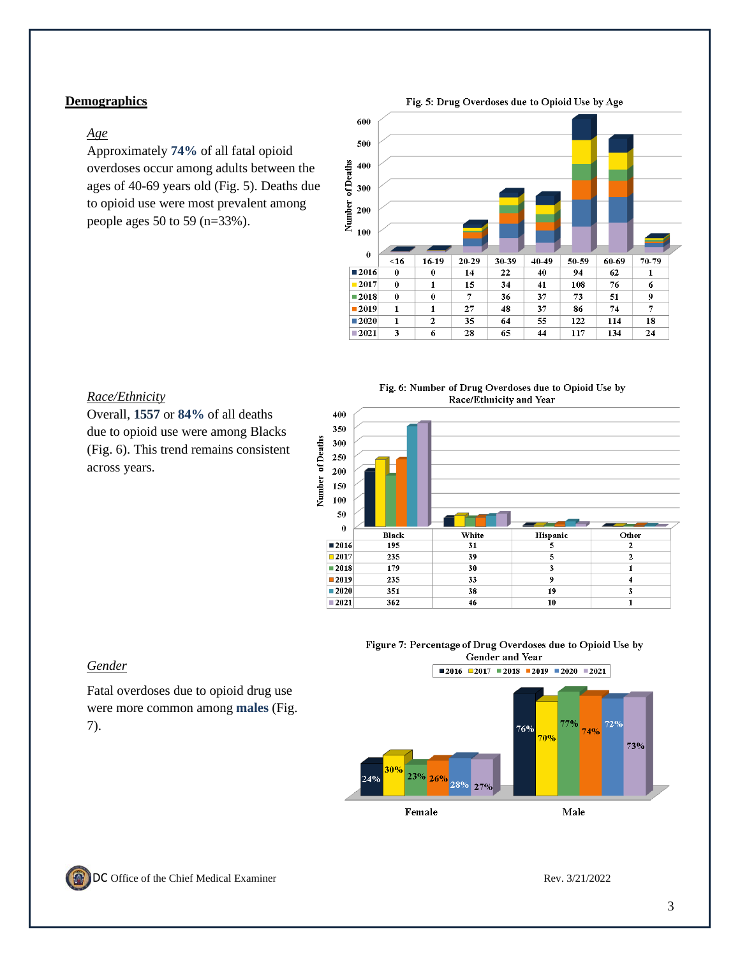### **Demographics**

#### *Age*

Approximately **74%** of all fatal opioid overdoses occur among adults between the ages of 40-69 years old (Fig. 5). Deaths due to opioid use were most prevalent among people ages 50 to 59 (n=33%).

Fig. 5: Drug Overdoses due to Opioid Use by Age



#### *Race/Ethnicity*

Overall, **1557** or **84%** of all deaths due to opioid use were among Blacks (Fig. 6). This trend remains consistent across years.

Fig. 6: Number of Drug Overdoses due to Opioid Use by Race/Ethnicity and Year



#### Figure 7: Percentage of Drug Overdoses due to Opioid Use by Gender and Year



Female

Male



*Gender*

7).

Fatal overdoses due to opioid drug use were more common among **males** (Fig.